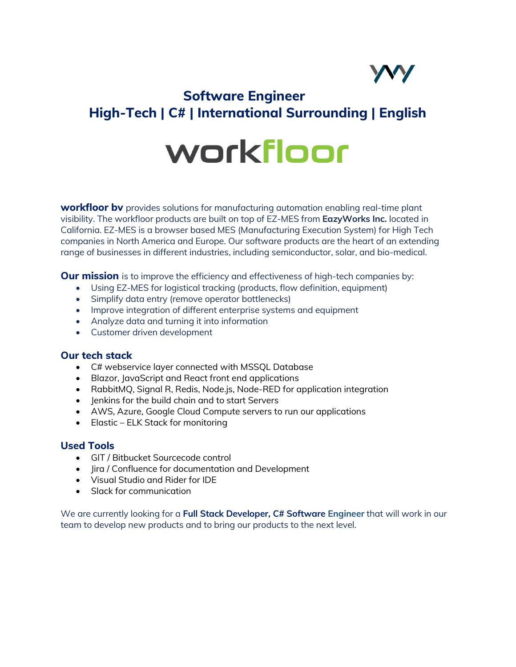

# **Software Engineer High-Tech | C# | International Surrounding | English**

# workfloor

**workfloor bv** provides solutions for manufacturing automation enabling real-time plant visibility. The workfloor products are built on top of EZ-MES from **EazyWorks Inc.** located in California. EZ-MES is a browser based MES (Manufacturing Execution System) for High Tech companies in North America and Europe. Our software products are the heart of an extending range of businesses in different industries, including semiconductor, solar, and bio-medical.

**Our mission** is to improve the efficiency and effectiveness of high-tech companies by:

- Using EZ-MES for logistical tracking (products, flow definition, equipment)
- Simplify data entry (remove operator bottlenecks)
- Improve integration of different enterprise systems and equipment
- Analyze data and turning it into information
- Customer driven development

# **Our tech stack**

- C# webservice layer connected with MSSQL Database
- Blazor, JavaScript and React front end applications
- RabbitMQ, Signal R, Redis, Node.js, Node-RED for application integration
- Jenkins for the build chain and to start Servers
- AWS, Azure, Google Cloud Compute servers to run our applications
- Elastic ELK Stack for monitoring

# **Used Tools**

- GIT / Bitbucket Sourcecode control
- Jira / Confluence for documentation and Development
- Visual Studio and Rider for IDE
- Slack for communication

We are currently looking for a **Full Stack Developer, C# Software Engineer** that will work in our team to develop new products and to bring our products to the next level.